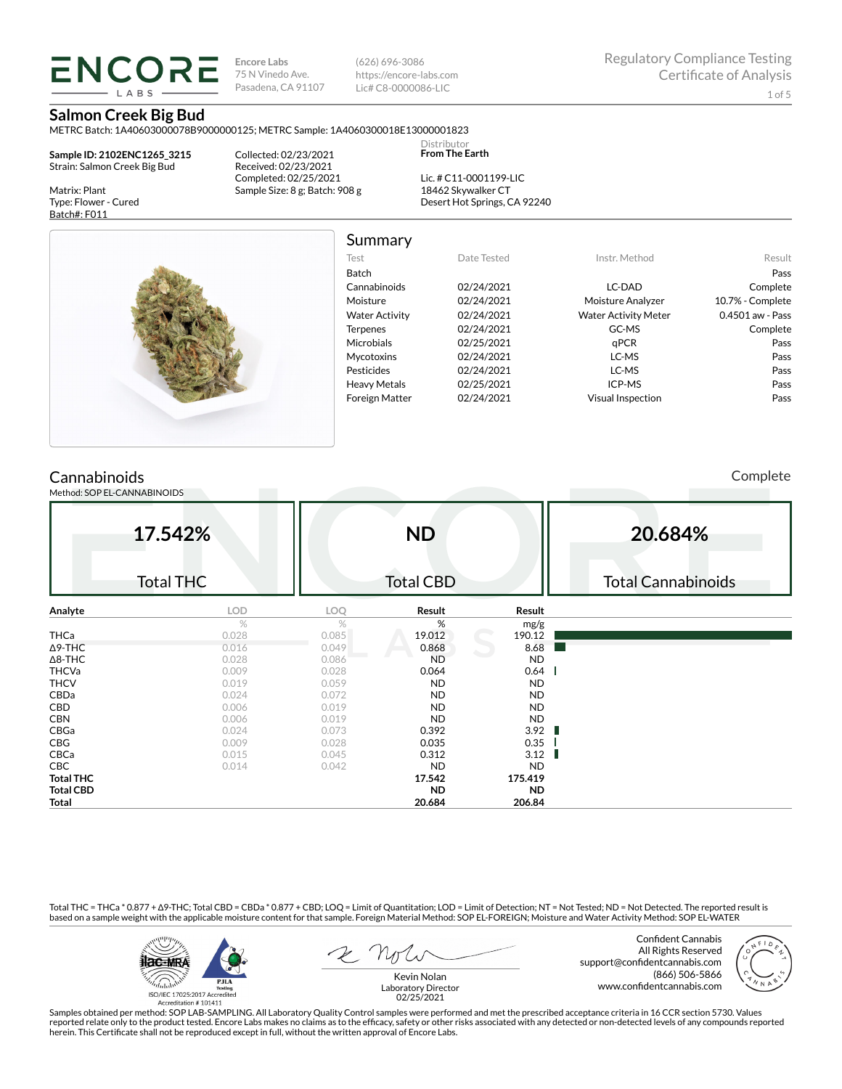**Encore Labs** 75 N Vinedo Ave. Pasadena, CA 91107 (626) 696-3086 https://encore-labs.com Lic# C8-0000086-LIC

Summary

Distributor **From The Earth**

## **Salmon Creek Big Bud**

ENCORE **LARS** 

METRC Batch: 1A40603000078B9000000125; METRC Sample: 1A4060300018E13000001823

**Sample ID: 2102ENC1265\_3215** Strain: Salmon Creek Big Bud

Matrix: Plant Type: Flower - Cured Batch#: F011

Collected: 02/23/2021 Received: 02/23/2021 Completed: 02/25/2021 Sample Size: 8 g; Batch: 908 g

Lic. # C11-0001199-LIC 18462 Skywalker CT Desert Hot Springs, CA 92240



| Test                  | Date Tested | Instr. Method               | Result           |
|-----------------------|-------------|-----------------------------|------------------|
| Batch                 |             |                             | Pass             |
| Cannabinoids          | 02/24/2021  | LC-DAD                      | Complete         |
| Moisture              | 02/24/2021  | Moisture Analyzer           | 10.7% - Complete |
| <b>Water Activity</b> | 02/24/2021  | <b>Water Activity Meter</b> | 0.4501 aw - Pass |
| <b>Terpenes</b>       | 02/24/2021  | GC-MS                       | Complete         |
| <b>Microbials</b>     | 02/25/2021  | qPCR                        | Pass             |
| <b>Mycotoxins</b>     | 02/24/2021  | LC-MS                       | Pass             |
| Pesticides            | 02/24/2021  | LC-MS                       | Pass             |
| <b>Heavy Metals</b>   | 02/25/2021  | ICP-MS                      | Pass             |
| <b>Foreign Matter</b> | 02/24/2021  | <b>Visual Inspection</b>    | Pass             |

## **Cannabinoids**

Method: SOP EL-CANNABINOIDS

Complete

|                  | 17.542%       |                  | <b>ND</b> |           | 20.684%                   |
|------------------|---------------|------------------|-----------|-----------|---------------------------|
| <b>Total THC</b> |               | <b>Total CBD</b> |           |           | <b>Total Cannabinoids</b> |
| Analyte          | <b>LOD</b>    | <b>LOQ</b>       | Result    | Result    |                           |
|                  | $\frac{1}{2}$ | $\frac{1}{2}$    | %         | mg/g      |                           |
| THCa             | 0.028         | 0.085            | 19.012    | 190.12    |                           |
| ∆9-THC           | 0.016         | 0.049            | 0.868     | 8.68      |                           |
| ∆8-THC           | 0.028         | 0.086            | <b>ND</b> | ND.       |                           |
| THCVa            | 0.009         | 0.028            | 0.064     | 0.64      |                           |
| THCV             | 0.019         | 0.059            | ND.       | ND.       |                           |
| CBDa             | 0.024         | 0.072            | <b>ND</b> | ND.       |                           |
| CBD              | 0.006         | 0.019            | <b>ND</b> | ND.       |                           |
| CBN              | 0.006         | 0.019            | ND.       | ND.       |                           |
| CBGa             | 0.024         | 0.073            | 0.392     | 3.92      |                           |
| $\mathsf{CBG}\$  | 0.009         | 0.028            | 0.035     | 0.35      |                           |
| CBCa             | 0.015         | 0.045            | 0.312     | 3.12      |                           |
| CBC              | 0.014         | 0.042            | ND.       | ND.       |                           |
| <b>Total THC</b> |               |                  | 17.542    | 175.419   |                           |
| Total CBD        |               |                  | ND.       | <b>ND</b> |                           |

Total THC = THCa \* 0.877 + ∆9-THC; Total CBD = CBDa \* 0.877 + CBD; LOQ = Limit of Quantitation; LOD = Limit of Detection; NT = Not Tested; ND = Not Detected. The reported result is based on a sample weight with the applicable moisture content for that sample. Foreign Material Method: SOP EL-FOREIGN; Moisture and Water Activity Method: SOP EL-WATER



Confident Cannabis All Rights Reserved support@confidentcannabis.com (866) 506-5866 www.confidentcannabis.com



**Total 20.684 206.84**

Kevin Nolan Laboratory Director 02/25/2021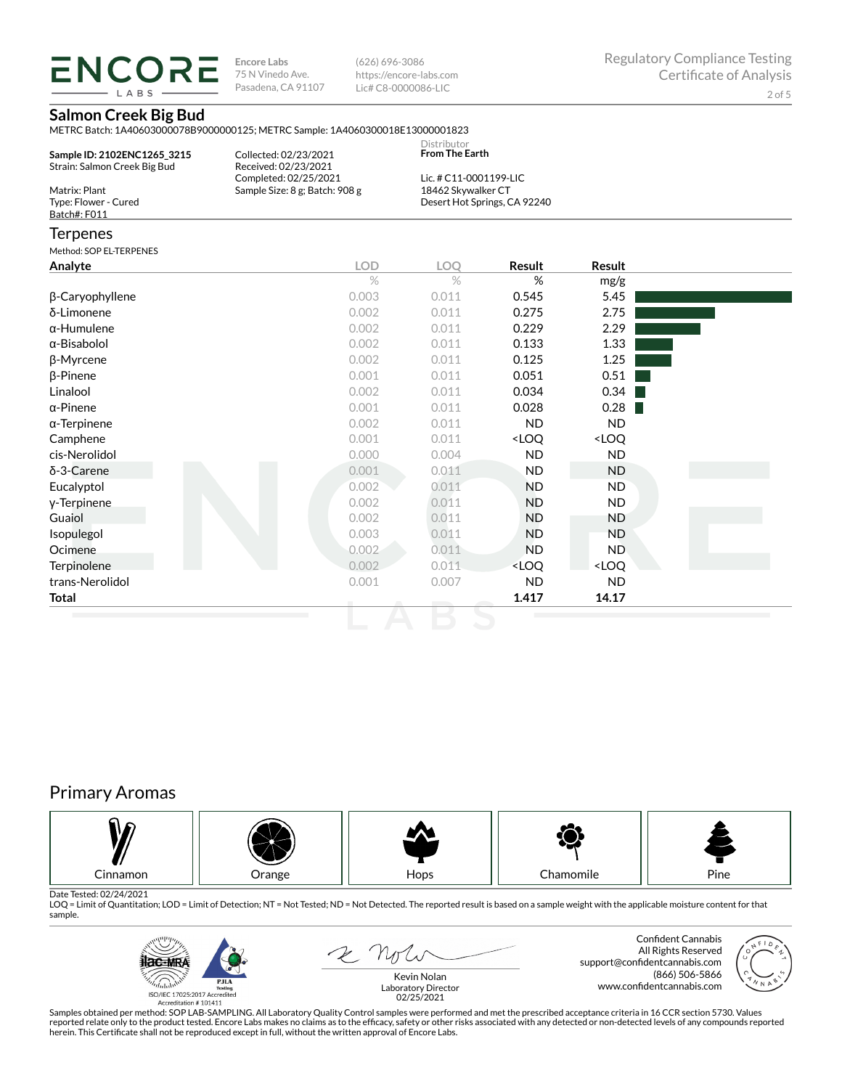LABS

**Encore Labs** 75 N Vinedo Ave. Pasadena, CA 91107

(626) 696-3086 https://encore-labs.com Lic# C8-0000086-LIC

## **Salmon Creek Big Bud**

METRC Batch: 1A40603000078B9000000125; METRC Sample: 1A4060300018E13000001823

| Sample ID: 2102ENC1265 3215<br>Strain: Salmon Creek Big Bud | Collected: 02/23/2021<br>Received: 02/23/2021 | Distributor<br><b>From The Earth</b> |  |
|-------------------------------------------------------------|-----------------------------------------------|--------------------------------------|--|
|                                                             | Completed: 02/25/2021                         | Lic. # C11-0001199-LIC               |  |
| Matrix: Plant                                               | Sample Size: 8 g; Batch: 908 g                | 18462 Skywalker CT                   |  |
| Type: Flower - Cured                                        |                                               | Desert Hot Springs, CA 92240         |  |
| Batch#: F011                                                |                                               |                                      |  |
|                                                             |                                               |                                      |  |

### Terpenes

Method: SOP EL-TERPENES

| <b>Result</b><br>%<br>0.545<br>0.275<br>0.229   | Result<br>mg/g<br>5.45<br>2.75<br>2.29 |
|-------------------------------------------------|----------------------------------------|
|                                                 |                                        |
|                                                 |                                        |
|                                                 |                                        |
|                                                 |                                        |
|                                                 |                                        |
|                                                 | 1.33                                   |
| 0.125                                           | 1.25                                   |
| 0.051                                           | 0.51                                   |
| 0.034                                           | 0.34                                   |
| 0.028                                           | 0.28                                   |
| <b>ND</b>                                       | <b>ND</b>                              |
| <loq< td=""><td><loq< td=""></loq<></td></loq<> | <loq< td=""></loq<>                    |
| <b>ND</b>                                       | ND                                     |
| ND.                                             | ND                                     |
| <b>ND</b>                                       | ND.                                    |
| <b>ND</b>                                       | ND                                     |
| <b>ND</b>                                       | ND                                     |
| <b>ND</b>                                       | ND.                                    |
| <b>ND</b>                                       | ND.                                    |
| <loq< td=""><td><loq< td=""></loq<></td></loq<> | <loq< td=""></loq<>                    |
| <b>ND</b>                                       | ND                                     |
| 1.417                                           | 14.17                                  |
| 0.004<br>0.011                                  | 0.133                                  |

# Primary Aromas



Date Tested: 02/24/2021<br>LOQ = Limit of Quantitation; LOD = Limit of Detection; NT = Not Tested; ND = Not Detected. The reported result is based on a sample weight with the applicable moisture content for that sample.



2 Not

Confident Cannabis All Rights Reserved support@confidentcannabis.com (866) 506-5866 www.confidentcannabis.com

Kevin Nolan Laboratory Director 02/25/2021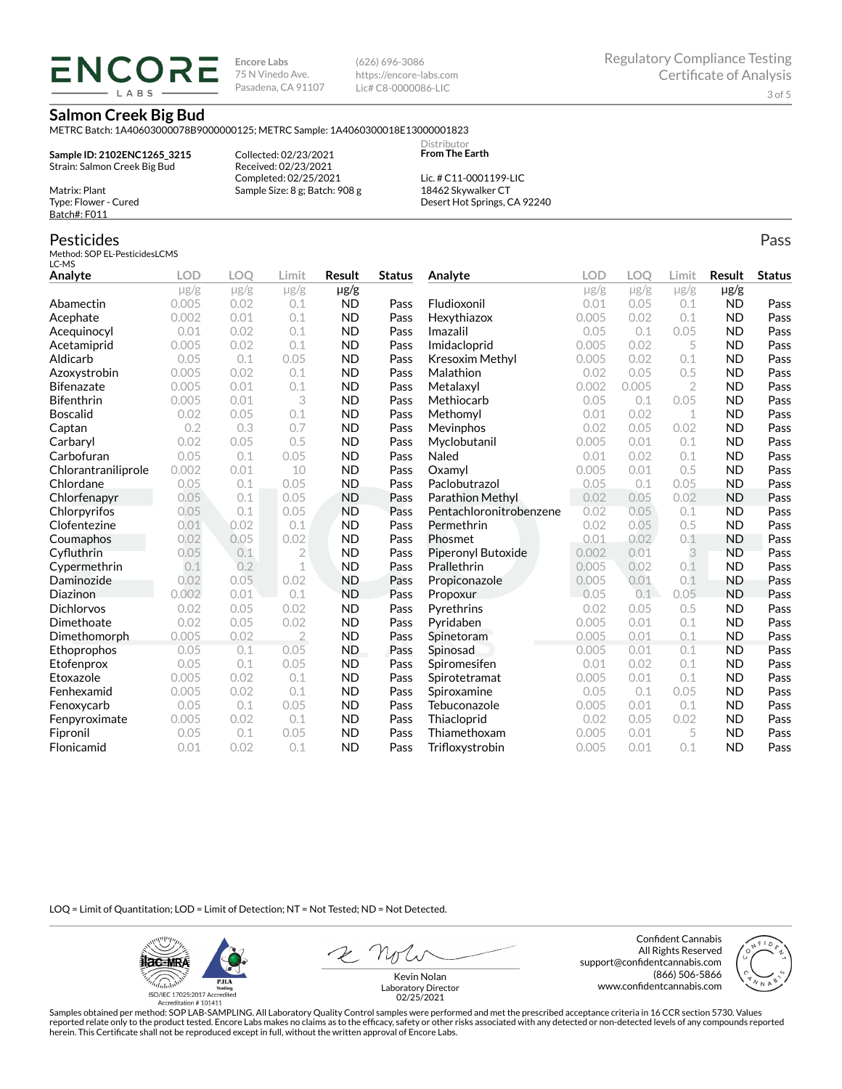**ENCORE IARS** 

**Encore Labs** 75 N Vinedo Ave. Pasadena, CA 91107 (626) 696-3086 https://encore-labs.com Lic# C8-0000086-LIC

> **Distributor From The Earth**

### **Salmon Creek Big Bud**

METRC Batch: 1A40603000078B9000000125; METRC Sample: 1A4060300018E13000001823

**Sample ID: 2102ENC1265\_3215** Strain: Salmon Creek Big Bud

Matrix: Plant Type: Flower - Cured Batch#: F011

Pesticides

Collected: 02/23/2021 Received: 02/23/2021 Completed: 02/25/2021 Sample Size: 8 g; Batch: 908 g

Lic. # C11-0001199-LIC 18462 Skywalker CT Desert Hot Springs, CA 92240

#### Method: SOP EL-PesticidesLCMS LC-MS **Analyte LOD LOQ Limit Result Status**  $\mu$ g/g  $\mu$ g/g  $\mu$ g/g  $\mu$ g/g Abamectin 0.005 0.02 0.1 ND Pass Acephate 0.002 0.01 0.1 ND Pass Acequinocyl 0.01 0.02 0.1 ND Pass Acetamiprid 0.005 0.02 0.1 ND Pass Aldicarb 0.05 0.1 0.05 ND Pass Azoxystrobin 0.005 0.02 0.1 ND Pass Bifenazate 0.005 0.01 0.1 ND Pass Bifenthrin 0.005 0.01 3 ND Pass Boscalid 0.02 0.05 0.1 ND Pass **Captan 12 0.2 0.3 0.7 ND Pass Carbaryl 0.02 0.05 0.5 ND Pass** Carbofuran 0.05 0.1 0.05 ND Pass Chlorantraniliprole 0.002 0.01 10 ND Pass Chlordane 0.05 0.1 0.05 ND Pass Chlorfenapyr 0.05 0.1 0.05 ND Pass Chlorpyrifos 0.05 0.1 0.05 ND Pass Clofentezine 0.01 0.02 0.1 ND Pass Coumaphos 0.02 0.05 0.02 ND Pass Cyfluthrin 0.05 0.1 2 ND Pass Cypermethrin 0.1 0.2 1 ND Pass Daminozide 0.02 0.05 0.02 ND Pass **Diazinon** 0.002 0.01 0.1 ND Pass Dichlorvos 0.02 0.05 0.02 ND Pass Dimethoate 0.02 0.05 0.02 ND Pass Dimethomorph 0.005 0.02 2 ND Pass Ethoprophos 0.05 0.1 0.05 ND Pass Etofenprox 0.05 0.1 0.05 ND Pass Etoxazole 0.005 0.02 0.1 ND Pass Fenhexamid 0.005 0.02 0.1 ND Pass Fenoxycarb 0.05 0.1 0.05 ND Pass Fenpyroximate 0.005 0.02 0.1 ND Pass Fipronil 0.05 0.1 0.05 ND Pass Flonicamid 0.01 0.02 0.1 ND Pass **Analyte LOD LOQ Limit Result Status**  $\mu$ g/g  $\mu$ g/g  $\mu$ g/g  $\mu$ g/g Fludioxonil 0.01 0.05 0.1 ND Pass Hexythiazox 0.005 0.02 0.1 ND Pass **Imazalil 11 0.05 0.1 0.05 ND Pass** Imidacloprid 0.005 0.02 5 ND Pass Kresoxim Methyl  $0.005$  0.02 0.1 ND Pass **Malathion** 0.02 0.05 0.5 **ND Pass** Metalaxyl 0.002 0.005 2 ND Pass Methiocarb 0.05 0.1 0.05 ND Pass **Methomyl** 0.01 0.02 1 **ND Pass** Mevinphos 0.02 0.05 0.02 ND Pass Myclobutanil 0.005 0.01 0.1 ND Pass **Naled 1200 0.01 0.02 0.1 ND Pass Oxamyl** 0.005 0.01 0.5 **ND Pass** Paclobutrazol 0.05 0.1 0.05 ND Pass Parathion Methyl 0.02 0.05 0.02 ND Pass Pentachloronitrobenzene 0.02 0.05 0.1 ND Pass Permethrin 0.02 0.05 0.5 ND Pass **Phosmet** 0.01 0.02 0.1 **ND Pass** Piperonyl Butoxide 0.002 0.01 3 ND Pass Prallethrin 0.005 0.02 0.1 ND Pass Propiconazole 0.005 0.01 0.1 ND Pass **Propoxur 1988 0.05 0.1 0.05 ND Pass** Pyrethrins 0.02 0.05 0.5 ND Pass **Pyridaben 1988 0.005 0.01 0.1 ND Pass Spinetoram 0.005 0.01 0.1 ND Pass** Spinosad 0.005 0.01 0.1 ND Pass Spiromesifen 0.01 0.02 0.1 ND Pass Spirotetramat 0.005 0.01 0.1 ND Pass Spiroxamine 0.05 0.1 0.05 ND Pass Tebuconazole 0.005 0.01 0.1 ND Pass Thiacloprid 0.02 0.05 0.02 ND Pass Thiamethoxam 0.005 0.01 5 ND Pass Trifloxystrobin 0.005 0.01 0.1 ND Pass

LOQ = Limit of Quantitation; LOD = Limit of Detection; NT = Not Tested; ND = Not Detected.

**ilac-MRA P.ILA** أيطيبك ISO/IEC 17025:2017 Ac

Accreditation #101411

2 Not

Confident Cannabis All Rights Reserved support@confidentcannabis.com (866) 506-5866 www.confidentcannabis.com



Kevin Nolan Laboratory Director 02/25/2021

Samples obtained per method: SOP LAB-SAMPLING. All Laboratory Quality Control samples were performed and met the prescribed acceptance criteria in 16 CCR section 5730. Values reported relate only to the product tested. Encore Labs makes no claims as to the efficacy, safety or other risks associated with any detected or non-detected levels of any compounds reported herein. This Certificate shall not be reproduced except in full, without the written approval of Encore Labs.

Pass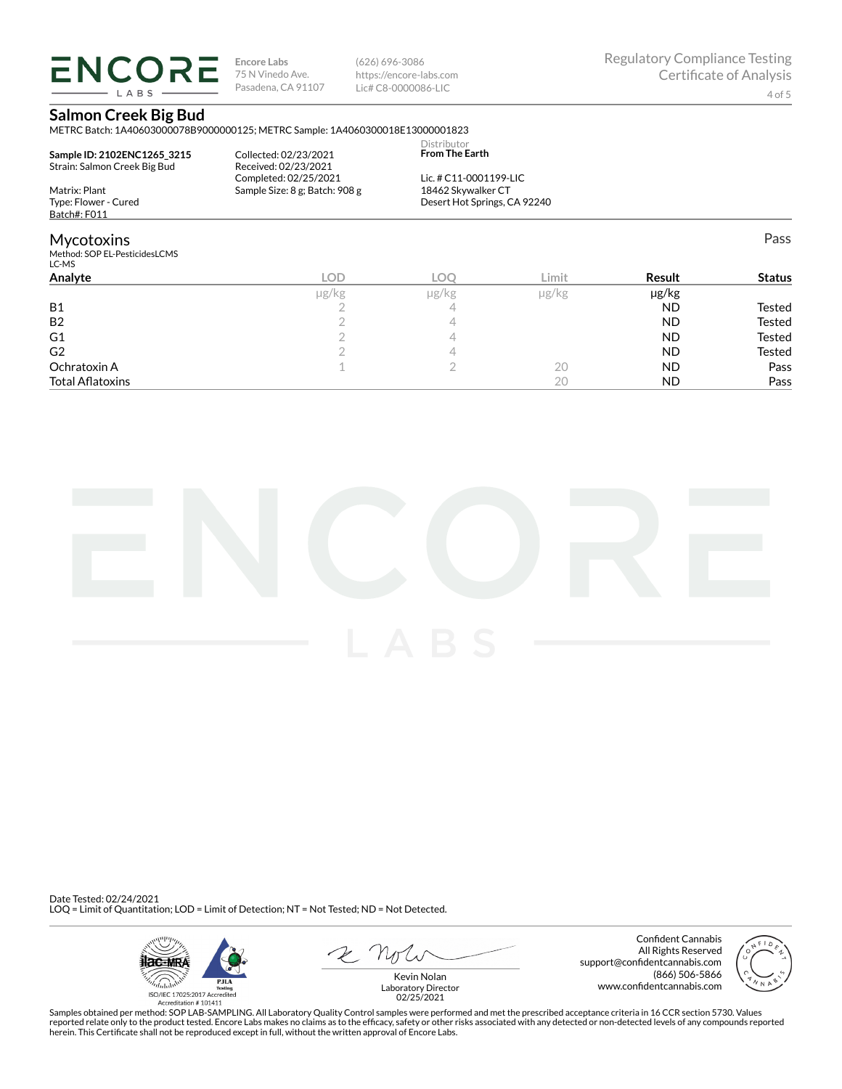**ENCORE** LABS

**Encore Labs** 75 N Vinedo Ave. Pasadena, CA 91107 (626) 696-3086 https://encore-labs.com Lic# C8-0000086-LIC

Pass

## **Salmon Creek Big Bud**

METRC Batch: 1A40603000078B9000000125; METRC Sample: 1A4060300018E13000001823

| Sample ID: 2102ENC1265 3215<br>Strain: Salmon Creek Big Bud | Collected: 02/23/2021<br>Received: 02/23/2021           | <b>Distributor</b><br><b>From The Earth</b>  |
|-------------------------------------------------------------|---------------------------------------------------------|----------------------------------------------|
| Matrix: Plant                                               | Completed: 02/25/2021<br>Sample Size: 8 g; Batch: 908 g | Lic. # C11-0001199-LIC<br>18462 Skywalker CT |
| Type: Flower - Cured                                        |                                                         | Desert Hot Springs, CA 92240                 |
| Batch#: F011                                                |                                                         |                                              |

### Mycotoxins

Method: SOP EL-PesticidesLCMS LC-MS

| LC-MS                   |            |       |               |           |               |
|-------------------------|------------|-------|---------------|-----------|---------------|
| Analyte                 | <b>LOD</b> | LOC   | Limit         | Result    | <b>Status</b> |
|                         | µg/kg      | µg/kg | $\mu$ g/ $kg$ | µg/kg     |               |
| <b>B1</b>               |            | 4     |               | <b>ND</b> | Tested        |
| B <sub>2</sub>          |            |       |               | <b>ND</b> | Tested        |
| G1                      |            |       |               | <b>ND</b> | Tested        |
| G <sub>2</sub>          |            |       |               | <b>ND</b> | Tested        |
| Ochratoxin A            |            |       | 20            | <b>ND</b> | Pass          |
| <b>Total Aflatoxins</b> |            |       | 20            | <b>ND</b> | Pass          |
|                         |            |       |               |           |               |



Date Tested: 02/24/2021 LOQ = Limit of Quantitation; LOD = Limit of Detection; NT = Not Tested; ND = Not Detected.



Confident Cannabis All Rights Reserved support@confidentcannabis.com (866) 506-5866 www.confidentcannabis.com



Kevin Nolan Laboratory Director 02/25/2021